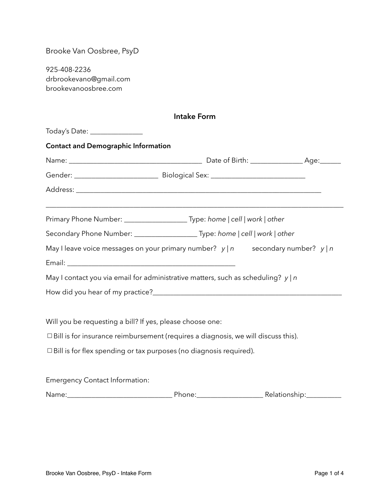Brooke Van Oosbree, PsyD

925-408-2236 drbrookevano@gmail.com brookevanoosbree.com

| <b>Intake Form</b>                                                                                          |                                                                                            |  |  |  |
|-------------------------------------------------------------------------------------------------------------|--------------------------------------------------------------------------------------------|--|--|--|
| Today's Date: ________________                                                                              |                                                                                            |  |  |  |
| <b>Contact and Demographic Information</b>                                                                  |                                                                                            |  |  |  |
|                                                                                                             |                                                                                            |  |  |  |
|                                                                                                             |                                                                                            |  |  |  |
|                                                                                                             |                                                                                            |  |  |  |
|                                                                                                             | Primary Phone Number: __________________________Type: home   cell   work   other           |  |  |  |
|                                                                                                             | Secondary Phone Number: ___________________________Type: home   cell   work   other        |  |  |  |
|                                                                                                             | May I leave voice messages on your primary number? $y \mid n$ secondary number? $y \mid n$ |  |  |  |
|                                                                                                             |                                                                                            |  |  |  |
|                                                                                                             | May I contact you via email for administrative matters, such as scheduling? $y \mid n$     |  |  |  |
|                                                                                                             |                                                                                            |  |  |  |
|                                                                                                             |                                                                                            |  |  |  |
| Will you be requesting a bill? If yes, please choose one:                                                   |                                                                                            |  |  |  |
|                                                                                                             | $\Box$ Bill is for insurance reimbursement (requires a diagnosis, we will discuss this).   |  |  |  |
|                                                                                                             | $\Box$ Bill is for flex spending or tax purposes (no diagnosis required).                  |  |  |  |
| . The contract of the contract of the contract of the contract of the contract of $\mathcal{O}_\mathcal{A}$ |                                                                                            |  |  |  |

Emergency Contact Information:

Name:\_\_\_\_\_\_\_\_\_\_\_\_\_\_\_\_\_\_\_\_\_\_\_\_\_\_\_\_\_\_ Phone:\_\_\_\_\_\_\_\_\_\_\_\_\_\_\_\_\_\_\_ Relationship:\_\_\_\_\_\_\_\_\_\_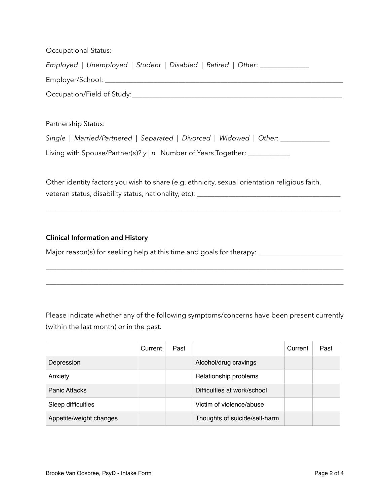| <b>Occupational Status:</b>                                                                                                                                                       |
|-----------------------------------------------------------------------------------------------------------------------------------------------------------------------------------|
| Employed   Unemployed   Student   Disabled   Retired   Other: _____________                                                                                                       |
|                                                                                                                                                                                   |
|                                                                                                                                                                                   |
|                                                                                                                                                                                   |
| Partnership Status:                                                                                                                                                               |
| Single   Married/Partnered   Separated   Divorced   Widowed   Other: ___________                                                                                                  |
| Living with Spouse/Partner(s)? $y \mid n$ Number of Years Together: $\sqrt{\frac{y}{x}}$                                                                                          |
|                                                                                                                                                                                   |
| Other identity factors you wish to share (e.g. ethnicity, sexual orientation religious faith,<br>veteran status, disability status, nationality, etc): __________________________ |

\_\_\_\_\_\_\_\_\_\_\_\_\_\_\_\_\_\_\_\_\_\_\_\_\_\_\_\_\_\_\_\_\_\_\_\_\_\_\_\_\_\_\_\_\_\_\_\_\_\_\_\_\_\_\_\_\_\_\_\_\_\_\_\_\_\_\_\_\_\_\_\_\_\_\_\_\_\_\_\_\_\_\_\_

## **Clinical Information and History**

Major reason(s) for seeking help at this time and goals for therapy: \_\_\_\_\_\_\_\_\_\_\_\_\_\_\_\_\_\_\_\_\_\_\_\_

Please indicate whether any of the following symptoms/concerns have been present currently (within the last month) or in the past.

\_\_\_\_\_\_\_\_\_\_\_\_\_\_\_\_\_\_\_\_\_\_\_\_\_\_\_\_\_\_\_\_\_\_\_\_\_\_\_\_\_\_\_\_\_\_\_\_\_\_\_\_\_\_\_\_\_\_\_\_\_\_\_\_\_\_\_\_\_\_\_\_\_\_\_\_\_\_\_\_\_\_\_\_\_

\_\_\_\_\_\_\_\_\_\_\_\_\_\_\_\_\_\_\_\_\_\_\_\_\_\_\_\_\_\_\_\_\_\_\_\_\_\_\_\_\_\_\_\_\_\_\_\_\_\_\_\_\_\_\_\_\_\_\_\_\_\_\_\_\_\_\_\_\_\_\_\_\_\_\_\_\_\_\_\_\_\_\_\_\_

|                         | Current | Past |                               | Current | Past |
|-------------------------|---------|------|-------------------------------|---------|------|
| Depression              |         |      | Alcohol/drug cravings         |         |      |
| Anxiety                 |         |      | Relationship problems         |         |      |
| <b>Panic Attacks</b>    |         |      | Difficulties at work/school   |         |      |
| Sleep difficulties      |         |      | Victim of violence/abuse      |         |      |
| Appetite/weight changes |         |      | Thoughts of suicide/self-harm |         |      |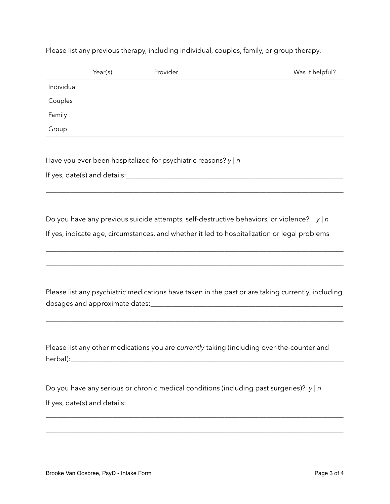Please list any previous therapy, including individual, couples, family, or group therapy.

|            | Year(s)                      | Provider                                                            | Was it helpful?                                                                                                                                                                                             |
|------------|------------------------------|---------------------------------------------------------------------|-------------------------------------------------------------------------------------------------------------------------------------------------------------------------------------------------------------|
| Individual |                              |                                                                     |                                                                                                                                                                                                             |
| Couples    |                              |                                                                     |                                                                                                                                                                                                             |
| Family     |                              |                                                                     |                                                                                                                                                                                                             |
| Group      |                              |                                                                     |                                                                                                                                                                                                             |
|            |                              | Have you ever been hospitalized for psychiatric reasons? $y \mid n$ |                                                                                                                                                                                                             |
|            |                              |                                                                     |                                                                                                                                                                                                             |
|            |                              |                                                                     |                                                                                                                                                                                                             |
|            |                              |                                                                     | Do you have any previous suicide attempts, self-destructive behaviors, or violence? $y \mid n$                                                                                                              |
|            |                              |                                                                     | If yes, indicate age, circumstances, and whether it led to hospitalization or legal problems                                                                                                                |
|            |                              |                                                                     |                                                                                                                                                                                                             |
|            |                              |                                                                     | Please list any psychiatric medications have taken in the past or are taking currently, including                                                                                                           |
|            |                              |                                                                     |                                                                                                                                                                                                             |
|            |                              |                                                                     | Please list any other medications you are currently taking (including over-the-counter and<br>herbal): experience and a series of the series of the series of the series of the series of the series of the |
|            |                              |                                                                     | Do you have any serious or chronic medical conditions (including past surgeries)? $y \mid n$                                                                                                                |
|            | If yes, date(s) and details: |                                                                     |                                                                                                                                                                                                             |
|            |                              |                                                                     |                                                                                                                                                                                                             |
|            |                              |                                                                     |                                                                                                                                                                                                             |